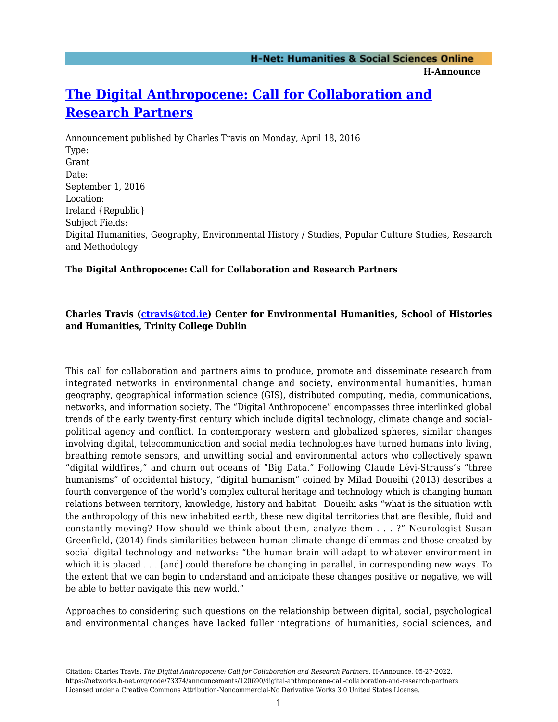## **[The Digital Anthropocene: Call for Collaboration and](https://networks.h-net.org/node/73374/announcements/120690/digital-anthropocene-call-collaboration-and-research-partners) [Research Partners](https://networks.h-net.org/node/73374/announcements/120690/digital-anthropocene-call-collaboration-and-research-partners)**

Announcement published by Charles Travis on Monday, April 18, 2016 Type: Grant Date: September 1, 2016 Location: Ireland {Republic} Subject Fields: Digital Humanities, Geography, Environmental History / Studies, Popular Culture Studies, Research and Methodology

### **The Digital Anthropocene: Call for Collaboration and Research Partners**

### **Charles Travis ([ctravis@tcd.ie\)](mailto:ctravis@tcd.ie) Center for Environmental Humanities, School of Histories and Humanities, Trinity College Dublin**

This call for collaboration and partners aims to produce, promote and disseminate research from integrated networks in environmental change and society, environmental humanities, human geography, geographical information science (GIS), distributed computing, media, communications, networks, and information society. The "Digital Anthropocene" encompasses three interlinked global trends of the early twenty-first century which include digital technology, climate change and socialpolitical agency and conflict. In contemporary western and globalized spheres, similar changes involving digital, telecommunication and social media technologies have turned humans into living, breathing remote sensors, and unwitting social and environmental actors who collectively spawn "digital wildfires," and churn out oceans of "Big Data." Following Claude Lévi-Strauss's "three humanisms" of occidental history, "digital humanism" coined by Milad Doueihi (2013) describes a fourth convergence of the world's complex cultural heritage and technology which is changing human relations between territory, knowledge, history and habitat. Doueihi asks "what is the situation with the anthropology of this new inhabited earth, these new digital territories that are flexible, fluid and constantly moving? How should we think about them, analyze them . . . ?" Neurologist Susan Greenfield, (2014) finds similarities between human climate change dilemmas and those created by social digital technology and networks: "the human brain will adapt to whatever environment in which it is placed . . . [and] could therefore be changing in parallel, in corresponding new ways. To the extent that we can begin to understand and anticipate these changes positive or negative, we will be able to better navigate this new world."

Approaches to considering such questions on the relationship between digital, social, psychological and environmental changes have lacked fuller integrations of humanities, social sciences, and

Citation: Charles Travis. *The Digital Anthropocene: Call for Collaboration and Research Partners*. H-Announce. 05-27-2022. https://networks.h-net.org/node/73374/announcements/120690/digital-anthropocene-call-collaboration-and-research-partners Licensed under a Creative Commons Attribution-Noncommercial-No Derivative Works 3.0 United States License.